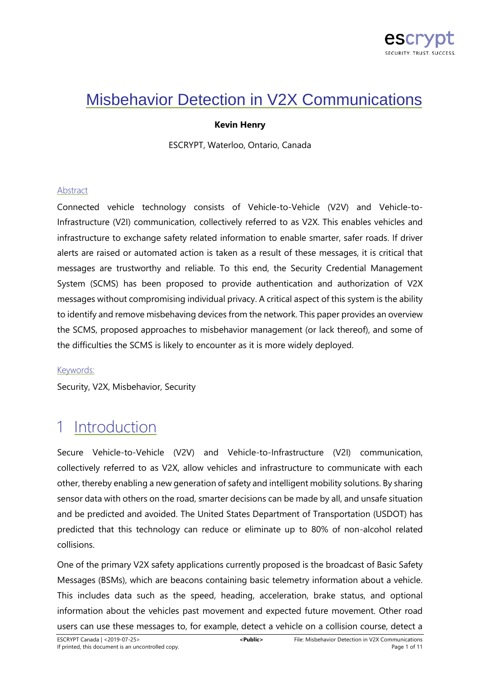

## Misbehavior Detection in V2X Communications

## **Kevin Henry**

ESCRYPT, Waterloo, Ontario, Canada

### Abstract

Connected vehicle technology consists of Vehicle-to-Vehicle (V2V) and Vehicle-to-Infrastructure (V2I) communication, collectively referred to as V2X. This enables vehicles and infrastructure to exchange safety related information to enable smarter, safer roads. If driver alerts are raised or automated action is taken as a result of these messages, it is critical that messages are trustworthy and reliable. To this end, the Security Credential Management System (SCMS) has been proposed to provide authentication and authorization of V2X messages without compromising individual privacy. A critical aspect of this system is the ability to identify and remove misbehaving devices from the network. This paper provides an overview the SCMS, proposed approaches to misbehavior management (or lack thereof), and some of the difficulties the SCMS is likely to encounter as it is more widely deployed.

### Keywords:

Security, V2X, Misbehavior, Security

## **Introduction**

Secure Vehicle-to-Vehicle (V2V) and Vehicle-to-Infrastructure (V2I) communication, collectively referred to as V2X, allow vehicles and infrastructure to communicate with each other, thereby enabling a new generation of safety and intelligent mobility solutions. By sharing sensor data with others on the road, smarter decisions can be made by all, and unsafe situation and be predicted and avoided. The United States Department of Transportation (USDOT) has predicted that this technology can reduce or eliminate up to 80% of non-alcohol related collisions.

One of the primary V2X safety applications currently proposed is the broadcast of Basic Safety Messages (BSMs), which are beacons containing basic telemetry information about a vehicle. This includes data such as the speed, heading, acceleration, brake status, and optional information about the vehicles past movement and expected future movement. Other road users can use these messages to, for example, detect a vehicle on a collision course, detect a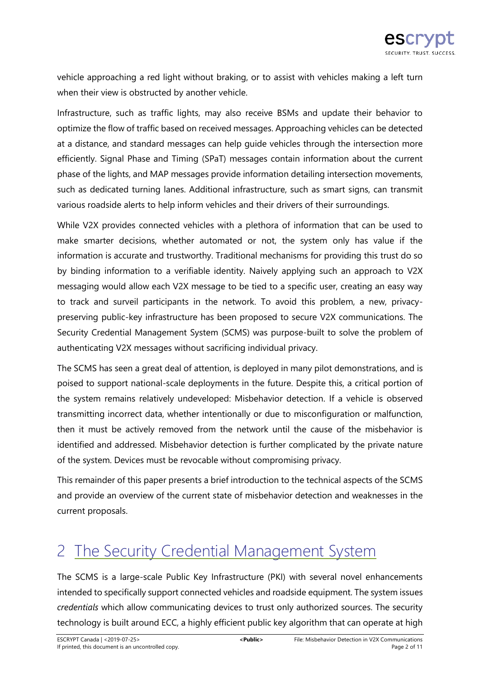vehicle approaching a red light without braking, or to assist with vehicles making a left turn when their view is obstructed by another vehicle.

Infrastructure, such as traffic lights, may also receive BSMs and update their behavior to optimize the flow of traffic based on received messages. Approaching vehicles can be detected at a distance, and standard messages can help guide vehicles through the intersection more efficiently. Signal Phase and Timing (SPaT) messages contain information about the current phase of the lights, and MAP messages provide information detailing intersection movements, such as dedicated turning lanes. Additional infrastructure, such as smart signs, can transmit various roadside alerts to help inform vehicles and their drivers of their surroundings.

While V2X provides connected vehicles with a plethora of information that can be used to make smarter decisions, whether automated or not, the system only has value if the information is accurate and trustworthy. Traditional mechanisms for providing this trust do so by binding information to a verifiable identity. Naively applying such an approach to V2X messaging would allow each V2X message to be tied to a specific user, creating an easy way to track and surveil participants in the network. To avoid this problem, a new, privacypreserving public-key infrastructure has been proposed to secure V2X communications. The Security Credential Management System (SCMS) was purpose-built to solve the problem of authenticating V2X messages without sacrificing individual privacy.

The SCMS has seen a great deal of attention, is deployed in many pilot demonstrations, and is poised to support national-scale deployments in the future. Despite this, a critical portion of the system remains relatively undeveloped: Misbehavior detection. If a vehicle is observed transmitting incorrect data, whether intentionally or due to misconfiguration or malfunction, then it must be actively removed from the network until the cause of the misbehavior is identified and addressed. Misbehavior detection is further complicated by the private nature of the system. Devices must be revocable without compromising privacy.

This remainder of this paper presents a brief introduction to the technical aspects of the SCMS and provide an overview of the current state of misbehavior detection and weaknesses in the current proposals.

# 2 The Security Credential Management System

The SCMS is a large-scale Public Key Infrastructure (PKI) with several novel enhancements intended to specifically support connected vehicles and roadside equipment. The system issues *credentials* which allow communicating devices to trust only authorized sources. The security technology is built around ECC, a highly efficient public key algorithm that can operate at high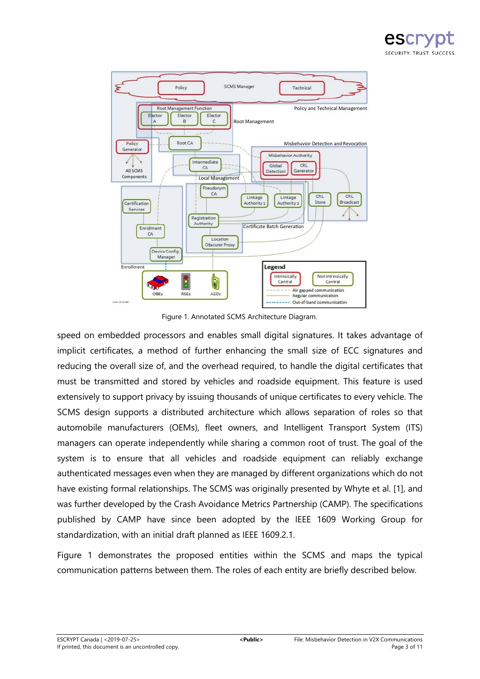



Figure 1. Annotated SCMS Architecture Diagram.

speed on embedded processors and enables small digital signatures. It takes advantage of implicit certificates, a method of further enhancing the small size of ECC signatures and reducing the overall size of, and the overhead required, to handle the digital certificates that must be transmitted and stored by vehicles and roadside equipment. This feature is used extensively to support privacy by issuing thousands of unique certificates to every vehicle. The SCMS design supports a distributed architecture which allows separation of roles so that automobile manufacturers (OEMs), fleet owners, and Intelligent Transport System (ITS) managers can operate independently while sharing a common root of trust. The goal of the system is to ensure that all vehicles and roadside equipment can reliably exchange authenticated messages even when they are managed by different organizations which do not have existing formal relationships. The SCMS was originally presented by Whyte et al. [1], and was further developed by the Crash Avoidance Metrics Partnership (CAMP). The specifications published by CAMP have since been adopted by the IEEE 1609 Working Group for standardization, with an initial draft planned as IEEE 1609.2.1.

Figure 1 demonstrates the proposed entities within the SCMS and maps the typical communication patterns between them. The roles of each entity are briefly described below.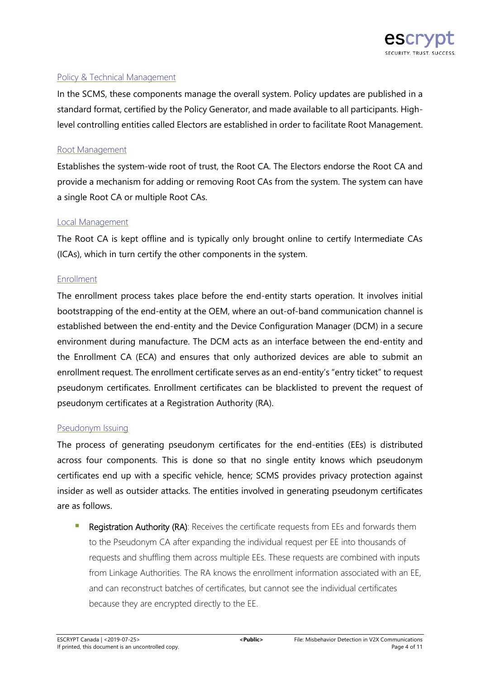

## Policy & Technical Management

In the SCMS, these components manage the overall system. Policy updates are published in a standard format, certified by the Policy Generator, and made available to all participants. Highlevel controlling entities called Electors are established in order to facilitate Root Management.

## Root Management

Establishes the system-wide root of trust, the Root CA. The Electors endorse the Root CA and provide a mechanism for adding or removing Root CAs from the system. The system can have a single Root CA or multiple Root CAs.

## Local Management

The Root CA is kept offline and is typically only brought online to certify Intermediate CAs (ICAs), which in turn certify the other components in the system.

### Enrollment

The enrollment process takes place before the end-entity starts operation. It involves initial bootstrapping of the end-entity at the OEM, where an out-of-band communication channel is established between the end-entity and the Device Configuration Manager (DCM) in a secure environment during manufacture. The DCM acts as an interface between the end-entity and the Enrollment CA (ECA) and ensures that only authorized devices are able to submit an enrollment request. The enrollment certificate serves as an end-entity's "entry ticket" to request pseudonym certificates. Enrollment certificates can be blacklisted to prevent the request of pseudonym certificates at a Registration Authority (RA).

### Pseudonym Issuing

The process of generating pseudonym certificates for the end-entities (EEs) is distributed across four components. This is done so that no single entity knows which pseudonym certificates end up with a specific vehicle, hence; SCMS provides privacy protection against insider as well as outsider attacks. The entities involved in generating pseudonym certificates are as follows.

 Registration Authority (RA): Receives the certificate requests from EEs and forwards them to the Pseudonym CA after expanding the individual request per EE into thousands of requests and shuffling them across multiple EEs. These requests are combined with inputs from Linkage Authorities. The RA knows the enrollment information associated with an EE, and can reconstruct batches of certificates, but cannot see the individual certificates because they are encrypted directly to the EE.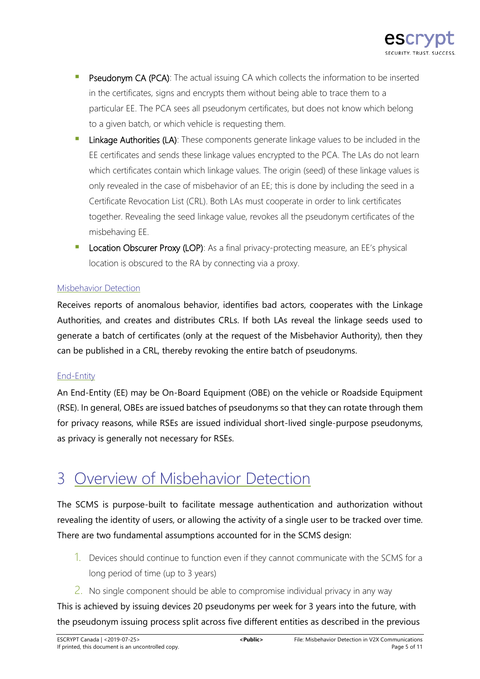

- Pseudonym CA (PCA): The actual issuing CA which collects the information to be inserted in the certificates, signs and encrypts them without being able to trace them to a particular EE. The PCA sees all pseudonym certificates, but does not know which belong to a given batch, or which vehicle is requesting them.
- Linkage Authorities (LA): These components generate linkage values to be included in the EE certificates and sends these linkage values encrypted to the PCA. The LAs do not learn which certificates contain which linkage values. The origin (seed) of these linkage values is only revealed in the case of misbehavior of an EE; this is done by including the seed in a Certificate Revocation List (CRL). Both LAs must cooperate in order to link certificates together. Revealing the seed linkage value, revokes all the pseudonym certificates of the misbehaving EE.
- Location Obscurer Proxy (LOP): As a final privacy-protecting measure, an EE's physical location is obscured to the RA by connecting via a proxy.

## Misbehavior Detection

Receives reports of anomalous behavior, identifies bad actors, cooperates with the Linkage Authorities, and creates and distributes CRLs. If both LAs reveal the linkage seeds used to generate a batch of certificates (only at the request of the Misbehavior Authority), then they can be published in a CRL, thereby revoking the entire batch of pseudonyms.

## End-Entity

An End-Entity (EE) may be On-Board Equipment (OBE) on the vehicle or Roadside Equipment (RSE). In general, OBEs are issued batches of pseudonyms so that they can rotate through them for privacy reasons, while RSEs are issued individual short-lived single-purpose pseudonyms, as privacy is generally not necessary for RSEs.

## 3 Overview of Misbehavior Detection

The SCMS is purpose-built to facilitate message authentication and authorization without revealing the identity of users, or allowing the activity of a single user to be tracked over time. There are two fundamental assumptions accounted for in the SCMS design:

- 1. Devices should continue to function even if they cannot communicate with the SCMS for a long period of time (up to 3 years)
- $2.$  No single component should be able to compromise individual privacy in any way

This is achieved by issuing devices 20 pseudonyms per week for 3 years into the future, with the pseudonym issuing process split across five different entities as described in the previous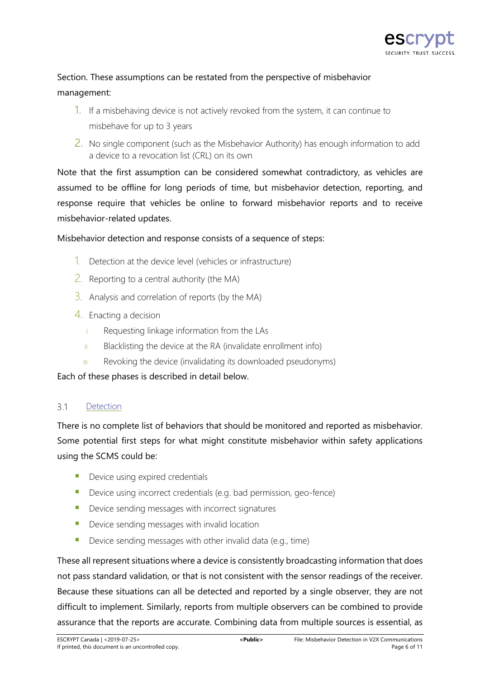

## Section. These assumptions can be restated from the perspective of misbehavior management:

- 1. If a misbehaving device is not actively revoked from the system, it can continue to misbehave for up to 3 years
- 2. No single component (such as the Misbehavior Authority) has enough information to add a device to a revocation list (CRL) on its own

Note that the first assumption can be considered somewhat contradictory, as vehicles are assumed to be offline for long periods of time, but misbehavior detection, reporting, and response require that vehicles be online to forward misbehavior reports and to receive misbehavior-related updates.

## Misbehavior detection and response consists of a sequence of steps:

- 1. Detection at the device level (vehicles or infrastructure)
- 2. Reporting to a central authority (the MA)
- $\overline{3}$ . Analysis and correlation of reports (by the MA)
- 4. Enacting a decision
	- I. Requesting linkage information from the LAs
	- $II.$  Blacklisting the device at the RA (invalidate enrollment info)
	- III. Revoking the device (invalidating its downloaded pseudonyms)

<span id="page-5-0"></span>Each of these phases is described in detail below.

#### $31$ Detection

There is no complete list of behaviors that should be monitored and reported as misbehavior. Some potential first steps for what might constitute misbehavior within safety applications using the SCMS could be:

- **Device using expired credentials**
- Device using incorrect credentials (e.g. bad permission, geo-fence)
- Device sending messages with incorrect signatures
- **Device sending messages with invalid location**
- Device sending messages with other invalid data (e.g., time)

These all represent situations where a device is consistently broadcasting information that does not pass standard validation, or that is not consistent with the sensor readings of the receiver. Because these situations can all be detected and reported by a single observer, they are not difficult to implement. Similarly, reports from multiple observers can be combined to provide assurance that the reports are accurate. Combining data from multiple sources is essential, as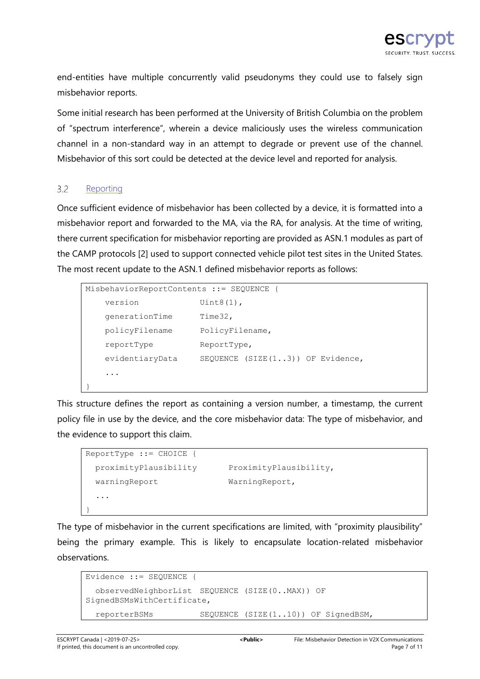end-entities have multiple concurrently valid pseudonyms they could use to falsely sign misbehavior reports.

Some initial research has been performed at the University of British Columbia on the problem of "spectrum interference", wherein a device maliciously uses the wireless communication channel in a non-standard way in an attempt to degrade or prevent use of the channel. Misbehavior of this sort could be detected at the device level and reported for analysis.

#### $32$ **Reporting**

Once sufficient evidence of misbehavior has been collected by a device, it is formatted into a misbehavior report and forwarded to the MA, via the RA, for analysis. At the time of writing, there current specification for misbehavior reporting are provided as ASN.1 modules as part of the CAMP protocols [2] used to support connected vehicle pilot test sites in the United States. The most recent update to the ASN.1 defined misbehavior reports as follows:

```
MisbehaviorReportContents ::= SEQUENCE {
   version Uint8(1),
    generationTime Time32,
    policyFilename PolicyFilename,
    reportType ReportType,
    evidentiaryData SEQUENCE (SIZE(1..3)) OF Evidence,
    ...
}
```
This structure defines the report as containing a version number, a timestamp, the current policy file in use by the device, and the core misbehavior data: The type of misbehavior, and the evidence to support this claim.

```
ReportType ::= CHOICE {
  proximityPlausibility ProximityPlausibility, 
 warningReport WarningReport,
   ...
}
```
The type of misbehavior in the current specifications are limited, with "proximity plausibility" being the primary example. This is likely to encapsulate location-related misbehavior observations.

```
Evidence ::= SEQUENCE {
  observedNeighborList SEQUENCE (SIZE(0..MAX)) OF
SignedBSMsWithCertificate,
   reporterBSMs SEQUENCE (SIZE(1..10)) OF SignedBSM,
```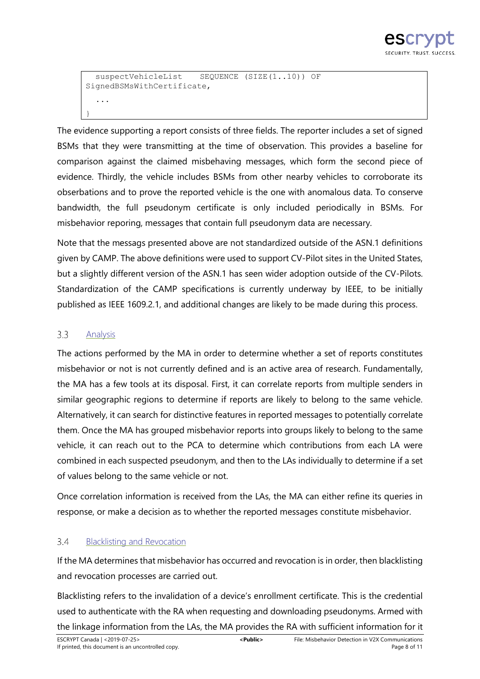

```
suspectVehicleList SEQUENCE (SIZE(1..10)) OF
SignedBSMsWithCertificate,
   ...
}
```
The evidence supporting a report consists of three fields. The reporter includes a set of signed BSMs that they were transmitting at the time of observation. This provides a baseline for comparison against the claimed misbehaving messages, which form the second piece of evidence. Thirdly, the vehicle includes BSMs from other nearby vehicles to corroborate its obserbations and to prove the reported vehicle is the one with anomalous data. To conserve bandwidth, the full pseudonym certificate is only included periodically in BSMs. For misbehavior reporing, messages that contain full pseudonym data are necessary.

Note that the messags presented above are not standardized outside of the ASN.1 definitions given by CAMP. The above definitions were used to support CV-Pilot sites in the United States, but a slightly different version of the ASN.1 has seen wider adoption outside of the CV-Pilots. Standardization of the CAMP specifications is currently underway by IEEE, to be initially published as IEEE 1609.2.1, and additional changes are likely to be made during this process.

#### $3.3$ Analysis

The actions performed by the MA in order to determine whether a set of reports constitutes misbehavior or not is not currently defined and is an active area of research. Fundamentally, the MA has a few tools at its disposal. First, it can correlate reports from multiple senders in similar geographic regions to determine if reports are likely to belong to the same vehicle. Alternatively, it can search for distinctive features in reported messages to potentially correlate them. Once the MA has grouped misbehavior reports into groups likely to belong to the same vehicle, it can reach out to the PCA to determine which contributions from each LA were combined in each suspected pseudonym, and then to the LAs individually to determine if a set of values belong to the same vehicle or not.

Once correlation information is received from the LAs, the MA can either refine its queries in response, or make a decision as to whether the reported messages constitute misbehavior.

#### $3.4$ Blacklisting and Revocation

If the MA determines that misbehavior has occurred and revocation is in order, then blacklisting and revocation processes are carried out.

Blacklisting refers to the invalidation of a device's enrollment certificate. This is the credential used to authenticate with the RA when requesting and downloading pseudonyms. Armed with the linkage information from the LAs, the MA provides the RA with sufficient information for it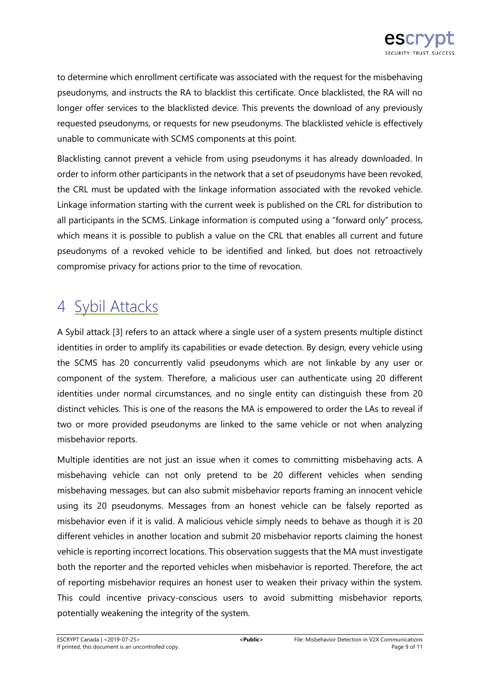

to determine which enrollment certificate was associated with the request for the misbehaving pseudonyms, and instructs the RA to blacklist this certificate. Once blacklisted, the RA will no longer offer services to the blacklisted device. This prevents the download of any previously requested pseudonyms, or requests for new pseudonyms. The blacklisted vehicle is effectively unable to communicate with SCMS components at this point.

Blacklisting cannot prevent a vehicle from using pseudonyms it has already downloaded. In order to inform other participants in the network that a set of pseudonyms have been revoked, the CRL must be updated with the linkage information associated with the revoked vehicle. Linkage information starting with the current week is published on the CRL for distribution to all participants in the SCMS. Linkage information is computed using a "forward only" process, which means it is possible to publish a value on the CRL that enables all current and future pseudonyms of a revoked vehicle to be identified and linked, but does not retroactively compromise privacy for actions prior to the time of revocation.

# 4 Sybil Attacks

A Sybil attack [3] refers to an attack where a single user of a system presents multiple distinct identities in order to amplify its capabilities or evade detection. By design, every vehicle using the SCMS has 20 concurrently valid pseudonyms which are not linkable by any user or component of the system. Therefore, a malicious user can authenticate using 20 different identities under normal circumstances, and no single entity can distinguish these from 20 distinct vehicles. This is one of the reasons the MA is empowered to order the LAs to reveal if two or more provided pseudonyms are linked to the same vehicle or not when analyzing misbehavior reports.

Multiple identities are not just an issue when it comes to committing misbehaving acts. A misbehaving vehicle can not only pretend to be 20 different vehicles when sending misbehaving messages, but can also submit misbehavior reports framing an innocent vehicle using its 20 pseudonyms. Messages from an honest vehicle can be falsely reported as misbehavior even if it is valid. A malicious vehicle simply needs to behave as though it is 20 different vehicles in another location and submit 20 misbehavior reports claiming the honest vehicle is reporting incorrect locations. This observation suggests that the MA must investigate both the reporter and the reported vehicles when misbehavior is reported. Therefore, the act of reporting misbehavior requires an honest user to weaken their privacy within the system. This could incentive privacy-conscious users to avoid submitting misbehavior reports, potentially weakening the integrity of the system.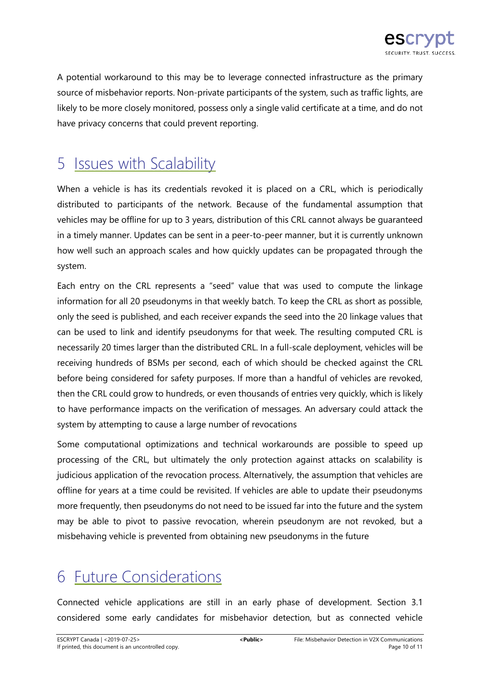

A potential workaround to this may be to leverage connected infrastructure as the primary source of misbehavior reports. Non-private participants of the system, such as traffic lights, are likely to be more closely monitored, possess only a single valid certificate at a time, and do not have privacy concerns that could prevent reporting.

## 5 **Issues with Scalability**

When a vehicle is has its credentials revoked it is placed on a CRL, which is periodically distributed to participants of the network. Because of the fundamental assumption that vehicles may be offline for up to 3 years, distribution of this CRL cannot always be guaranteed in a timely manner. Updates can be sent in a peer-to-peer manner, but it is currently unknown how well such an approach scales and how quickly updates can be propagated through the system.

Each entry on the CRL represents a "seed" value that was used to compute the linkage information for all 20 pseudonyms in that weekly batch. To keep the CRL as short as possible, only the seed is published, and each receiver expands the seed into the 20 linkage values that can be used to link and identify pseudonyms for that week. The resulting computed CRL is necessarily 20 times larger than the distributed CRL. In a full-scale deployment, vehicles will be receiving hundreds of BSMs per second, each of which should be checked against the CRL before being considered for safety purposes. If more than a handful of vehicles are revoked, then the CRL could grow to hundreds, or even thousands of entries very quickly, which is likely to have performance impacts on the verification of messages. An adversary could attack the system by attempting to cause a large number of revocations

Some computational optimizations and technical workarounds are possible to speed up processing of the CRL, but ultimately the only protection against attacks on scalability is judicious application of the revocation process. Alternatively, the assumption that vehicles are offline for years at a time could be revisited. If vehicles are able to update their pseudonyms more frequently, then pseudonyms do not need to be issued far into the future and the system may be able to pivot to passive revocation, wherein pseudonym are not revoked, but a misbehaving vehicle is prevented from obtaining new pseudonyms in the future

# 6 Future Considerations

Connected vehicle applications are still in an early phase of development. Section [3.1](#page-5-0) considered some early candidates for misbehavior detection, but as connected vehicle